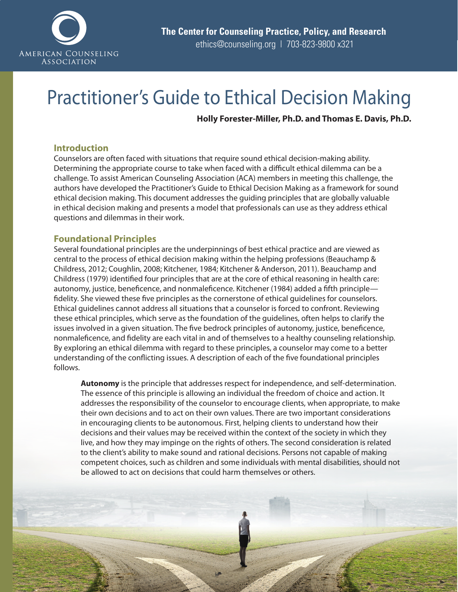

# Practitioner's Guide to Ethical Decision Making

**Holly Forester-Miller, Ph.D. and Thomas E. Davis, Ph.D.**

# **Introduction**

Counselors are often faced with situations that require sound ethical decision-making ability. Determining the appropriate course to take when faced with a difficult ethical dilemma can be a challenge. To assist American Counseling Association (ACA) members in meeting this challenge, the authors have developed the Practitioner's Guide to Ethical Decision Making as a framework for sound ethical decision making. This document addresses the guiding principles that are globally valuable in ethical decision making and presents a model that professionals can use as they address ethical questions and dilemmas in their work.

# **Foundational Principles**

Several foundational principles are the underpinnings of best ethical practice and are viewed as central to the process of ethical decision making within the helping professions (Beauchamp & Childress, 2012; Coughlin, 2008; Kitchener, 1984; Kitchener & Anderson, 2011). Beauchamp and Childress (1979) identified four principles that are at the core of ethical reasoning in health care: autonomy, justice, beneficence, and nonmaleficence. Kitchener (1984) added a fifth principle fidelity. She viewed these five principles as the cornerstone of ethical guidelines for counselors. Ethical guidelines cannot address all situations that a counselor is forced to confront. Reviewing these ethical principles, which serve as the foundation of the guidelines, often helps to clarify the issues involved in a given situation. The five bedrock principles of autonomy, justice, beneficence, nonmaleficence, and fidelity are each vital in and of themselves to a healthy counseling relationship. By exploring an ethical dilemma with regard to these principles, a counselor may come to a better understanding of the conflicting issues. A description of each of the five foundational principles follows.

**Autonomy** is the principle that addresses respect for independence, and self-determination. The essence of this principle is allowing an individual the freedom of choice and action. It addresses the responsibility of the counselor to encourage clients, when appropriate, to make their own decisions and to act on their own values. There are two important considerations in encouraging clients to be autonomous. First, helping clients to understand how their decisions and their values may be received within the context of the society in which they live, and how they may impinge on the rights of others. The second consideration is related to the client's ability to make sound and rational decisions. Persons not capable of making competent choices, such as children and some individuals with mental disabilities, should not be allowed to act on decisions that could harm themselves or others.

Practitioner's Guide to Ethical Decision Making | 1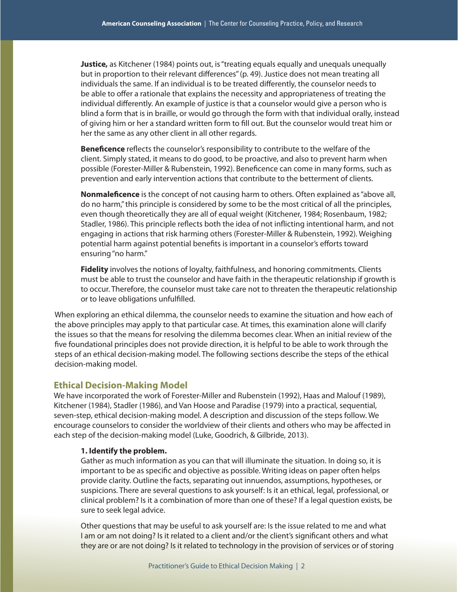**Justice,** as Kitchener (1984) points out, is "treating equals equally and unequals unequally but in proportion to their relevant differences" (p. 49). Justice does not mean treating all individuals the same. If an individual is to be treated differently, the counselor needs to be able to offer a rationale that explains the necessity and appropriateness of treating the individual differently. An example of justice is that a counselor would give a person who is blind a form that is in braille, or would go through the form with that individual orally, instead of giving him or her a standard written form to fill out. But the counselor would treat him or her the same as any other client in all other regards.

**Beneficence** reflects the counselor's responsibility to contribute to the welfare of the client. Simply stated, it means to do good, to be proactive, and also to prevent harm when possible (Forester-Miller & Rubenstein, 1992). Beneficence can come in many forms, such as prevention and early intervention actions that contribute to the betterment of clients.

**Nonmaleficence** is the concept of not causing harm to others. Often explained as "above all, do no harm," this principle is considered by some to be the most critical of all the principles, even though theoretically they are all of equal weight (Kitchener, 1984; Rosenbaum, 1982; Stadler, 1986). This principle reflects both the idea of not inflicting intentional harm, and not engaging in actions that risk harming others (Forester-Miller & Rubenstein, 1992). Weighing potential harm against potential benefits is important in a counselor's efforts toward ensuring "no harm."

**Fidelity** involves the notions of loyalty, faithfulness, and honoring commitments. Clients must be able to trust the counselor and have faith in the therapeutic relationship if growth is to occur. Therefore, the counselor must take care not to threaten the therapeutic relationship or to leave obligations unfulfilled.

When exploring an ethical dilemma, the counselor needs to examine the situation and how each of the above principles may apply to that particular case. At times, this examination alone will clarify the issues so that the means for resolving the dilemma becomes clear. When an initial review of the five foundational principles does not provide direction, it is helpful to be able to work through the steps of an ethical decision-making model. The following sections describe the steps of the ethical decision-making model.

### **Ethical Decision-Making Model**

We have incorporated the work of Forester-Miller and Rubenstein (1992), Haas and Malouf (1989), Kitchener (1984), Stadler (1986), and Van Hoose and Paradise (1979) into a practical, sequential, seven-step, ethical decision-making model. A description and discussion of the steps follow. We encourage counselors to consider the worldview of their clients and others who may be affected in each step of the decision-making model (Luke, Goodrich, & Gilbride, 2013).

#### **1. Identify the problem.**

Gather as much information as you can that will illuminate the situation. In doing so, it is important to be as specific and objective as possible. Writing ideas on paper often helps provide clarity. Outline the facts, separating out innuendos, assumptions, hypotheses, or suspicions. There are several questions to ask yourself: Is it an ethical, legal, professional, or clinical problem? Is it a combination of more than one of these? If a legal question exists, be sure to seek legal advice.

Other questions that may be useful to ask yourself are: Is the issue related to me and what I am or am not doing? Is it related to a client and/or the client's significant others and what they are or are not doing? Is it related to technology in the provision of services or of storing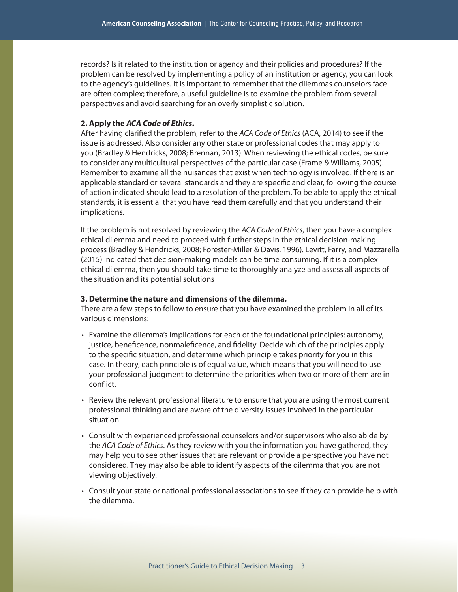records? Is it related to the institution or agency and their policies and procedures? If the problem can be resolved by implementing a policy of an institution or agency, you can look to the agency's guidelines. It is important to remember that the dilemmas counselors face are often complex; therefore, a useful guideline is to examine the problem from several perspectives and avoid searching for an overly simplistic solution.

#### **2. Apply the** *ACA Code of Ethics***.**

After having clarified the problem, refer to the *ACA Code of Ethics* (ACA, 2014) to see if the issue is addressed. Also consider any other state or professional codes that may apply to you (Bradley & Hendricks, 2008; Brennan, 2013). When reviewing the ethical codes, be sure to consider any multicultural perspectives of the particular case (Frame & Williams, 2005). Remember to examine all the nuisances that exist when technology is involved. If there is an applicable standard or several standards and they are specific and clear, following the course of action indicated should lead to a resolution of the problem. To be able to apply the ethical standards, it is essential that you have read them carefully and that you understand their implications.

If the problem is not resolved by reviewing the *ACA Code of Ethics*, then you have a complex ethical dilemma and need to proceed with further steps in the ethical decision-making process (Bradley & Hendricks, 2008; Forester-Miller & Davis, 1996). Levitt, Farry, and Mazzarella (2015) indicated that decision-making models can be time consuming. If it is a complex ethical dilemma, then you should take time to thoroughly analyze and assess all aspects of the situation and its potential solutions

#### **3. Determine the nature and dimensions of the dilemma.**

There are a few steps to follow to ensure that you have examined the problem in all of its various dimensions:

- Examine the dilemma's implications for each of the foundational principles: autonomy, justice, beneficence, nonmaleficence, and fidelity. Decide which of the principles apply to the specific situation, and determine which principle takes priority for you in this case. In theory, each principle is of equal value, which means that you will need to use your professional judgment to determine the priorities when two or more of them are in conflict.
- Review the relevant professional literature to ensure that you are using the most current professional thinking and are aware of the diversity issues involved in the particular situation.
- Consult with experienced professional counselors and/or supervisors who also abide by the *ACA Code of Ethics*. As they review with you the information you have gathered, they may help you to see other issues that are relevant or provide a perspective you have not considered. They may also be able to identify aspects of the dilemma that you are not viewing objectively.
- Consult your state or national professional associations to see if they can provide help with the dilemma.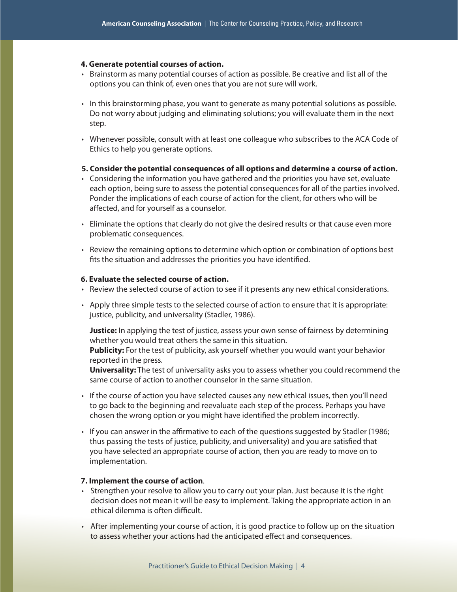#### **4. Generate potential courses of action.**

- Brainstorm as many potential courses of action as possible. Be creative and list all of the options you can think of, even ones that you are not sure will work.
- In this brainstorming phase, you want to generate as many potential solutions as possible. Do not worry about judging and eliminating solutions; you will evaluate them in the next step.
- Whenever possible, consult with at least one colleague who subscribes to the ACA Code of Ethics to help you generate options.
- **5. Consider the potential consequences of all options and determine a course of action.**
- Considering the information you have gathered and the priorities you have set, evaluate each option, being sure to assess the potential consequences for all of the parties involved. Ponder the implications of each course of action for the client, for others who will be affected, and for yourself as a counselor.
- Eliminate the options that clearly do not give the desired results or that cause even more problematic consequences.
- Review the remaining options to determine which option or combination of options best fits the situation and addresses the priorities you have identified.

## **6. Evaluate the selected course of action.**

- Review the selected course of action to see if it presents any new ethical considerations.
- Apply three simple tests to the selected course of action to ensure that it is appropriate: justice, publicity, and universality (Stadler, 1986).

**Justice:** In applying the test of justice, assess your own sense of fairness by determining whether you would treat others the same in this situation.

**Publicity:** For the test of publicity, ask yourself whether you would want your behavior reported in the press.

**Universality:** The test of universality asks you to assess whether you could recommend the same course of action to another counselor in the same situation.

- If the course of action you have selected causes any new ethical issues, then you'll need to go back to the beginning and reevaluate each step of the process. Perhaps you have chosen the wrong option or you might have identified the problem incorrectly.
- If you can answer in the affirmative to each of the questions suggested by Stadler (1986; thus passing the tests of justice, publicity, and universality) and you are satisfied that you have selected an appropriate course of action, then you are ready to move on to implementation.

#### **7. Implement the course of action**.

- Strengthen your resolve to allow you to carry out your plan. Just because it is the right decision does not mean it will be easy to implement. Taking the appropriate action in an ethical dilemma is often difficult.
- After implementing your course of action, it is good practice to follow up on the situation to assess whether your actions had the anticipated effect and consequences.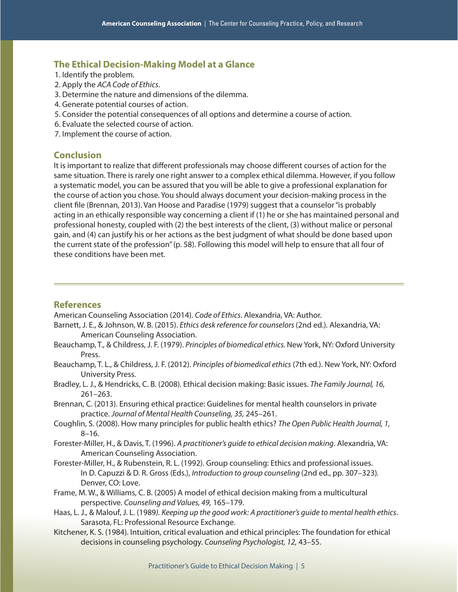# **The Ethical Decision-Making Model at a Glance**

- 1. Identify the problem.
- 2. Apply the *ACA Code of Ethics*.
- 3. Determine the nature and dimensions of the dilemma.
- 4. Generate potential courses of action.
- 5. Consider the potential consequences of all options and determine a course of action.
- 6. Evaluate the selected course of action.
- 7. Implement the course of action.

## **Conclusion**

It is important to realize that different professionals may choose different courses of action for the same situation. There is rarely one right answer to a complex ethical dilemma. However, if you follow a systematic model, you can be assured that you will be able to give a professional explanation for the course of action you chose. You should always document your decision-making process in the client file (Brennan, 2013). Van Hoose and Paradise (1979) suggest that a counselor "is probably acting in an ethically responsible way concerning a client if (1) he or she has maintained personal and professional honesty, coupled with (2) the best interests of the client, (3) without malice or personal gain, and (4) can justify his or her actions as the best judgment of what should be done based upon the current state of the profession" (p. 58). Following this model will help to ensure that all four of these conditions have been met.

# **References**

American Counseling Association (2014). *Code of Ethics*. Alexandria, VA: Author.

- Barnett, J. E., & Johnson, W. B. (2015). *Ethics desk reference for counselors* (2nd ed.)*.* Alexandria, VA: American Counseling Association.
- Beauchamp, T., & Childress, J. F. (1979). *Principles of biomedical ethics.* New York, NY: Oxford University Press.
- Beauchamp, T. L., & Childress, J. F. (2012). *Principles of biomedical ethics* (7th ed.). New York, NY: Oxford University Press.
- Bradley, L. J., & Hendricks, C. B. (2008). Ethical decision making: Basic issues. *The Family Journal, 16,* 261–263.
- Brennan, C. (2013). Ensuring ethical practice: Guidelines for mental health counselors in private practice. *Journal of Mental Health Counseling, 35,* 245–261.
- Coughlin, S. (2008). How many principles for public health ethics? *The Open Public Health Journal, 1,* 8–16.
- Forester-Miller, H., & Davis, T. (1996). *A practitioner's guide to ethical decision making*. Alexandria, VA: American Counseling Association.
- Forester-Miller, H., & Rubenstein, R. L. (1992). Group counseling: Ethics and professional issues. In D. Capuzzi & D. R. Gross (Eds.), *Introduction to group counseling* (2nd ed., pp. 307–323)*.* Denver, CO: Love.
- Frame, M. W., & Williams, C. B. (2005) A model of ethical decision making from a multicultural perspective. *Counseling and Values, 49,* 165–179.
- Haas, L. J., & Malouf, J. L. (1989*). Keeping up the good work: A practitioner's guide to mental health ethics*. Sarasota, FL: Professional Resource Exchange.
- Kitchener, K. S. (1984). Intuition, critical evaluation and ethical principles: The foundation for ethical decisions in counseling psychology. *Counseling Psychologist, 12,* 43–55.